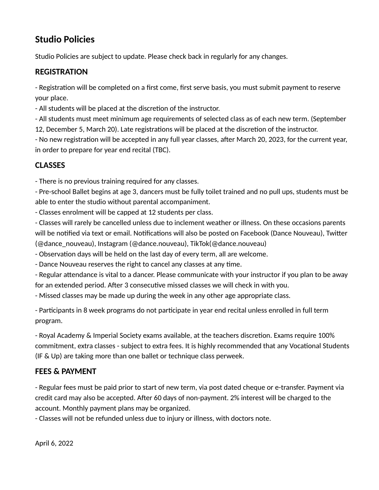# **Studio Policies**

Studio Policies are subject to update. Please check back in regularly for any changes.

#### **REGISTRATION**

- Registration will be completed on a first come, first serve basis, you must submit payment to reserve your place.

- All students will be placed at the discretion of the instructor.

- All students must meet minimum age requirements of selected class as of each new term. (September 12, December 5, March 20). Late registrations will be placed at the discretion of the instructor.

- No new registration will be accepted in any full year classes, after March 20, 2023, for the current year, in order to prepare for year end recital (TBC).

### **CLASSES**

- There is no previous training required for any classes.

- Pre-school Ballet begins at age 3, dancers must be fully toilet trained and no pull ups, students must be able to enter the studio without parental accompaniment.

- Classes enrolment will be capped at 12 students per class.

- Classes will rarely be cancelled unless due to inclement weather or illness. On these occasions parents will be notified via text or email. Notifications will also be posted on Facebook (Dance Nouveau), Twitter (@dance\_nouveau), Instagram (@dance.nouveau), TikTok(@dance.nouveau)

- Observation days will be held on the last day of every term, all are welcome.

- Dance Nouveau reserves the right to cancel any classes at any time.

- Regular attendance is vital to a dancer. Please communicate with your instructor if you plan to be away for an extended period. After 3 consecutive missed classes we will check in with you.

- Missed classes may be made up during the week in any other age appropriate class.

- Participants in 8 week programs do not participate in year end recital unless enrolled in full term program.

- Royal Academy & Imperial Society exams available, at the teachers discretion. Exams require 100% commitment, extra classes - subject to extra fees. It is highly recommended that any Vocational Students (IF & Up) are taking more than one ballet or technique class perweek.

## **FEES & PAYMENT**

- Regular fees must be paid prior to start of new term, via post dated cheque or e-transfer. Payment via credit card may also be accepted. After 60 days of non-payment. 2% interest will be charged to the account. Monthly payment plans may be organized.

- Classes will not be refunded unless due to injury or illness, with doctors note.

April 6, 2022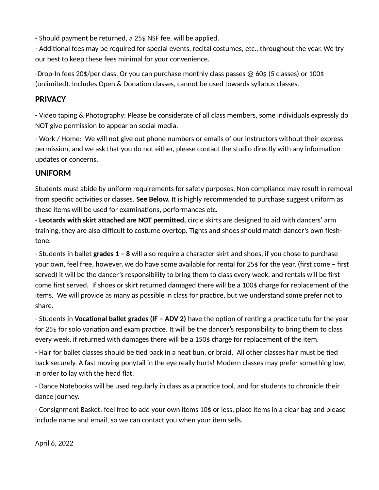- Should payment be returned, a 25\$ NSF fee, will be applied.

- Additional fees may be required for special events, recital costumes, etc., throughout the year. We try our best to keep these fees minimal for your convenience.

-Drop-In fees 20\$/per class. Or you can purchase monthly class passes @ 60\$ (5 classes) or 100\$ (unlimited). Includes Open & Donation classes, cannot be used towards syllabus classes.

#### **PRIVACY**

- Video taping & Photography: Please be considerate of all class members, some individuals expressly do NOT give permission to appear on social media.

- Work / Home: We will not give out phone numbers or emails of our instructors without their express permission, and we ask that you do not either, please contact the studio directly with any information updates or concerns.

#### **UNIFORM**

Students must abide by uniform requirements for safety purposes. Non compliance may result in removal from specific activities or classes. **See Below.** It is highly recommended to purchase suggest uniform as these items will be used for examinations, performances etc.

- **Leotards with skirt attached are NOT permitted,** circle skirts are designed to aid with dancers' arm training, they are also difficult to costume overtop. Tights and shoes should match dancer's own fleshtone.

- Students in ballet **grades 1 – 8** will also require a character skirt and shoes, if you chose to purchase your own, feel free, however, we do have some available for rental for 25\$ for the year, (first come – first served) it will be the dancer's responsibility to bring them to class every week, and rentals will be first come first served. If shoes or skirt returned damaged there will be a 100\$ charge for replacement of the items. We will provide as many as possible in class for practice, but we understand some prefer not to share.

- Students in **Vocational ballet grades (IF – ADV 2)** have the option of renting a practice tutu for the year for 25\$ for solo variation and exam practice. It will be the dancer's responsibility to bring them to class every week, if returned with damages there will be a 150\$ charge for replacement of the item.

- Hair for ballet classes should be tied back in a neat bun, or braid. All other classes hair must be tied back securely. A fast moving ponytail in the eye really hurts! Modern classes may prefer something low, in order to lay with the head flat.

- Dance Notebooks will be used regularly in class as a practice tool, and for students to chronicle their dance journey.

- Consignment Basket: feel free to add your own items 10\$ or less, place items in a clear bag and please include name and email, so we can contact you when your item sells.

April 6, 2022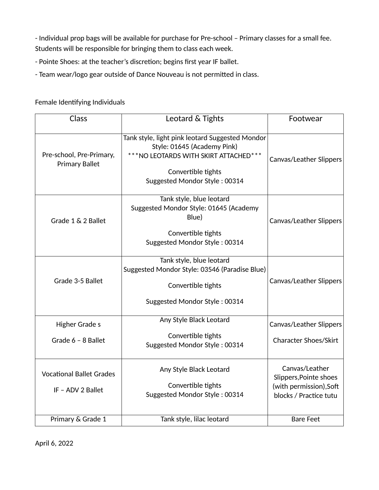- Individual prop bags will be available for purchase for Pre-school – Primary classes for a small fee. Students will be responsible for bringing them to class each week.

- Pointe Shoes: at the teacher's discretion; begins first year IF ballet.
- Team wear/logo gear outside of Dance Nouveau is not permitted in class.

#### Female Identifying Individuals

| Class                                                | Leotard & Tights                                                                                                                                                                | Footwear                                                                                      |
|------------------------------------------------------|---------------------------------------------------------------------------------------------------------------------------------------------------------------------------------|-----------------------------------------------------------------------------------------------|
| Pre-school, Pre-Primary,<br><b>Primary Ballet</b>    | Tank style, light pink leotard Suggested Mondor<br>Style: 01645 (Academy Pink)<br>*** NO LEOTARDS WITH SKIRT ATTACHED***<br>Convertible tights<br>Suggested Mondor Style: 00314 | Canvas/Leather Slippers                                                                       |
| Grade 1 & 2 Ballet                                   | Tank style, blue leotard<br>Suggested Mondor Style: 01645 (Academy<br>Blue)<br>Convertible tights<br>Suggested Mondor Style: 00314                                              | <b>Canvas/Leather Slippers</b>                                                                |
| Grade 3-5 Ballet                                     | Tank style, blue leotard<br>Suggested Mondor Style: 03546 (Paradise Blue)<br>Convertible tights<br>Suggested Mondor Style: 00314                                                | <b>Canvas/Leather Slippers</b>                                                                |
| <b>Higher Grade s</b>                                | Any Style Black Leotard<br>Convertible tights                                                                                                                                   | <b>Canvas/Leather Slippers</b>                                                                |
| Grade 6 - 8 Ballet                                   | Suggested Mondor Style: 00314                                                                                                                                                   | <b>Character Shoes/Skirt</b>                                                                  |
| <b>Vocational Ballet Grades</b><br>IF - ADV 2 Ballet | Any Style Black Leotard<br>Convertible tights<br>Suggested Mondor Style: 00314                                                                                                  | Canvas/Leather<br>Slippers, Pointe shoes<br>(with permission), Soft<br>blocks / Practice tutu |
| Primary & Grade 1                                    | Tank style, lilac leotard                                                                                                                                                       | <b>Bare Feet</b>                                                                              |

April 6, 2022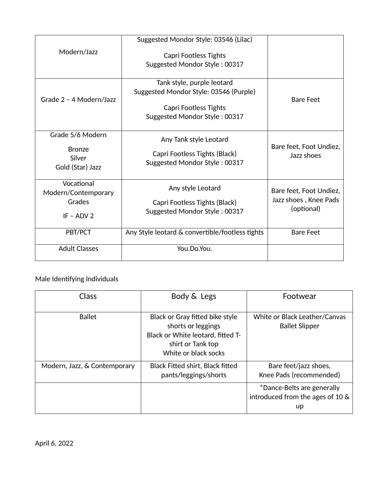|                                   | Suggested Mondor Style: 03546 (Lilac)           |                                       |
|-----------------------------------|-------------------------------------------------|---------------------------------------|
| Modern/Jazz                       | Capri Footless Tights                           |                                       |
|                                   | Suggested Mondor Style: 00317                   |                                       |
|                                   | Tank style, purple leotard                      |                                       |
| Grade 2 - 4 Modern/Jazz           | Suggested Mondor Style: 03546 (Purple)          | <b>Bare Feet</b>                      |
|                                   | <b>Capri Footless Tights</b>                    |                                       |
|                                   | Suggested Mondor Style: 00317                   |                                       |
| Grade 5/6 Modern                  | Any Tank style Leotard                          |                                       |
| <b>Bronze</b>                     | Capri Footless Tights (Black)                   | Bare feet, Foot Undiez,<br>Jazz shoes |
| Silver<br>Gold (Star) Jazz        | Suggested Mondor Style: 00317                   |                                       |
| Vocational<br>Modern/Contemporary | Any style Leotard                               | Bare feet, Foot Undiez,               |
| Grades                            | Capri Footless Tights (Black)                   | Jazz shoes, Knee Pads                 |
| $IF - ADV 2$                      | Suggested Mondor Style: 00317                   | (optional)                            |
| PBT/PCT                           | Any Style leotard & convertible/footless tights | <b>Bare Feet</b>                      |
| <b>Adult Classes</b>              | You.Do.You.                                     |                                       |

#### Male Identifying Individuals

| Class                        | Body & Legs                                                                                                                             | Footwear                                                             |
|------------------------------|-----------------------------------------------------------------------------------------------------------------------------------------|----------------------------------------------------------------------|
| <b>Ballet</b>                | Black or Gray fitted bike style<br>shorts or leggings<br>Black or White leotard, fitted T-<br>shirt or Tank top<br>White or black socks | White or Black Leather/Canvas<br><b>Ballet Slipper</b>               |
| Modern, Jazz, & Contemporary | <b>Black Fitted shirt, Black fitted</b><br>pants/leggings/shorts                                                                        | Bare feet/jazz shoes,<br>Knee Pads (recommended)                     |
|                              |                                                                                                                                         | *Dance-Belts are generally<br>introduced from the ages of 10 &<br>up |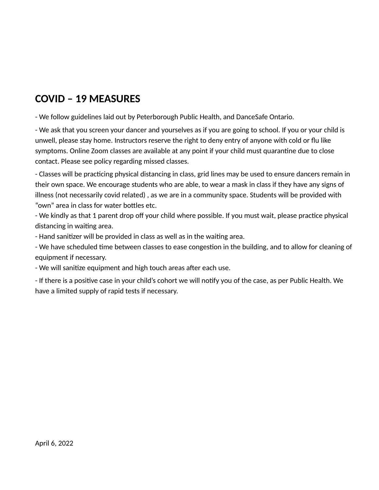# **COVID – 19 MEASURES**

- We follow guidelines laid out by Peterborough Public Health, and DanceSafe Ontario.

- We ask that you screen your dancer and yourselves as if you are going to school. If you or your child is unwell, please stay home. Instructors reserve the right to deny entry of anyone with cold or flu like symptoms. Online Zoom classes are available at any point if your child must quarantine due to close contact. Please see policy regarding missed classes.

- Classes will be practicing physical distancing in class, grid lines may be used to ensure dancers remain in their own space. We encourage students who are able, to wear a mask in class if they have any signs of illness (not necessarily covid related) , as we are in a community space. Students will be provided with "own" area in class for water bottles etc.

- We kindly as that 1 parent drop off your child where possible. If you must wait, please practice physical distancing in waiting area.

- Hand sanitizer will be provided in class as well as in the waiting area.

- We have scheduled time between classes to ease congestion in the building, and to allow for cleaning of equipment if necessary.

- We will sanitize equipment and high touch areas after each use.

- If there is a positive case in your child's cohort we will notify you of the case, as per Public Health. We have a limited supply of rapid tests if necessary.